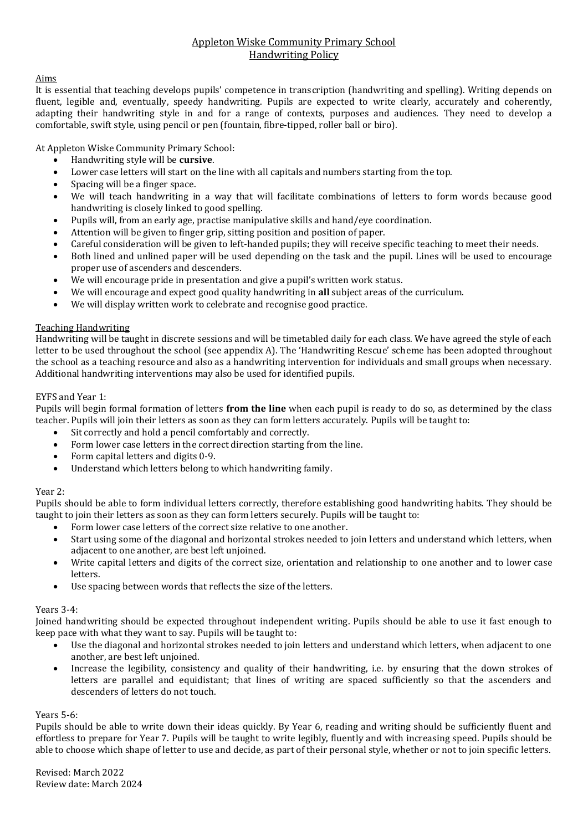### Appleton Wiske Community Primary School Handwriting Policy

#### Aims

It is essential that teaching develops pupils' competence in transcription (handwriting and spelling). Writing depends on fluent, legible and, eventually, speedy handwriting. Pupils are expected to write clearly, accurately and coherently, adapting their handwriting style in and for a range of contexts, purposes and audiences. They need to develop a comfortable, swift style, using pencil or pen (fountain, fibre-tipped, roller ball or biro).

At Appleton Wiske Community Primary School:

- Handwriting style will be **cursive**.
- Lower case letters will start on the line with all capitals and numbers starting from the top.
- Spacing will be a finger space.
- We will teach handwriting in a way that will facilitate combinations of letters to form words because good handwriting is closely linked to good spelling.
- Pupils will, from an early age, practise manipulative skills and hand/eye coordination.
- Attention will be given to finger grip, sitting position and position of paper.
- Careful consideration will be given to left-handed pupils; they will receive specific teaching to meet their needs.
- Both lined and unlined paper will be used depending on the task and the pupil. Lines will be used to encourage proper use of ascenders and descenders.
- We will encourage pride in presentation and give a pupil's written work status.
- We will encourage and expect good quality handwriting in **all** subject areas of the curriculum.
- We will display written work to celebrate and recognise good practice.

#### Teaching Handwriting

Handwriting will be taught in discrete sessions and will be timetabled daily for each class. We have agreed the style of each letter to be used throughout the school (see appendix A). The 'Handwriting Rescue' scheme has been adopted throughout the school as a teaching resource and also as a handwriting intervention for individuals and small groups when necessary. Additional handwriting interventions may also be used for identified pupils.

#### EYFS and Year 1:

Pupils will begin formal formation of letters **from the line** when each pupil is ready to do so, as determined by the class teacher. Pupils will join their letters as soon as they can form letters accurately. Pupils will be taught to:

- Sit correctly and hold a pencil comfortably and correctly.
- Form lower case letters in the correct direction starting from the line.
- Form capital letters and digits 0-9.
- Understand which letters belong to which handwriting family.

#### Year 2:

Pupils should be able to form individual letters correctly, therefore establishing good handwriting habits. They should be taught to join their letters as soon as they can form letters securely. Pupils will be taught to:

- Form lower case letters of the correct size relative to one another.
- Start using some of the diagonal and horizontal strokes needed to join letters and understand which letters, when adjacent to one another, are best left unjoined.
- Write capital letters and digits of the correct size, orientation and relationship to one another and to lower case letters.
- Use spacing between words that reflects the size of the letters.

#### Years 3-4:

Joined handwriting should be expected throughout independent writing. Pupils should be able to use it fast enough to keep pace with what they want to say. Pupils will be taught to:

- Use the diagonal and horizontal strokes needed to join letters and understand which letters, when adjacent to one another, are best left unjoined.
- Increase the legibility, consistency and quality of their handwriting, i.e. by ensuring that the down strokes of letters are parallel and equidistant; that lines of writing are spaced sufficiently so that the ascenders and descenders of letters do not touch.

#### Years 5-6:

Pupils should be able to write down their ideas quickly. By Year 6, reading and writing should be sufficiently fluent and effortless to prepare for Year 7. Pupils will be taught to write legibly, fluently and with increasing speed. Pupils should be able to choose which shape of letter to use and decide, as part of their personal style, whether or not to join specific letters.

Revised: March 2022 Review date: March 2024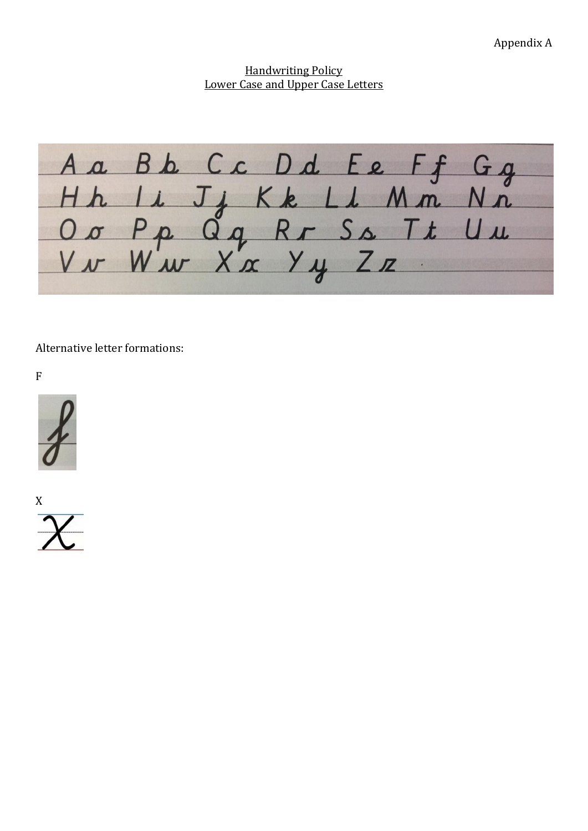# Handwriting Policy Lower Case and Upper Case Letters

A a B b C c D d E e F f G g<br>H h Li J j K k Li M m N n<br>O o P p Q q R r S s T t U u<br>V w W w X x Y y Z z

Alternative letter formations:

F